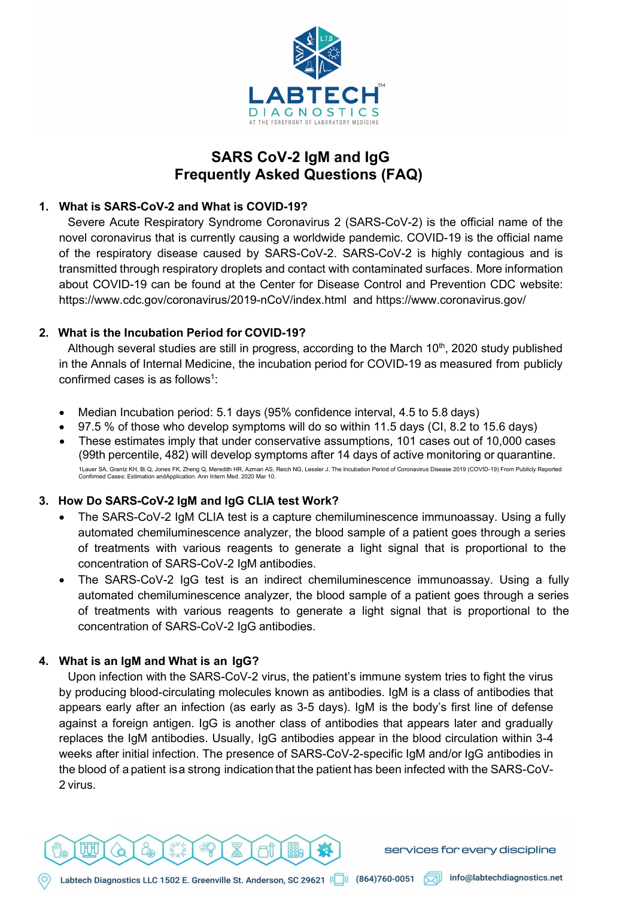

# **SARS CoV-2 IgM and IgG Frequently Asked Questions (FAQ)**

## **1. What is SARS-CoV-2 and What is COVID-19?**

Severe Acute Respiratory Syndrome Coronavirus 2 (SARS-CoV-2) is the official name of the novel coronavirus that is currently causing a worldwide pandemic. COVID-19 is the official name of the respiratory disease caused by SARS-CoV-2. SARS-CoV-2 is highly contagious and is transmitted through respiratory droplets and contact with contaminated surfaces. More information about COVID-19 can be found at the Center for Disease Control and Prevention CDC website: [https://www.cdc.gov/coronavirus/2019-](http://www.cdc.gov/coronavirus/2019-nCoV/index.html)n[CoV/index.html](http://www.cdc.gov/coronavirus/2019-nCoV/index.html) and [https://www.coronavirus.gov/](http://www.coronavirus.gov/)

### **2. What is the Incubation Period for COVID-19?**

Although several studies are still in progress, according to the March  $10<sup>th</sup>$ , 2020 study published in the Annals of Internal Medicine, the incubation period for COVID-19 as measured from publicly confirmed cases is as follows<sup>1</sup>:

- Median Incubation period: 5.1 days (95% confidence interval, 4.5 to 5.8 days)
- 97.5 % of those who develop symptoms will do so within 11.5 days (CI, 8.2 to 15.6 days)
- These estimates imply that under conservative assumptions, 101 cases out of 10,000 cases (99th percentile, 482) will develop symptoms after 14 days of active monitoring or quarantine. 1Lauer SA, Grantz KH, Bi Q, Jones FK, Zheng Q, Meredith HR, Azman AS, Reich NG, Lessler J. The Incubation Period of Coronavirus Disease 2019 (COVID-19) From Publicly Reported<br>Confirmed Cases: Estimation andApplication. Ann

# **3. How Do SARS-CoV-2 IgM and IgG CLIA test Work?**

- The SARS-CoV-2 IgM CLIA test is a capture chemiluminescence immunoassay. Using a fully automated chemiluminescence analyzer, the blood sample of a patient goes through a series of treatments with various reagents to generate a light signal that is proportional to the concentration of SARS-CoV-2 IgM antibodies.
- The SARS-CoV-2 IgG test is an indirect chemiluminescence immunoassay. Using a fully automated chemiluminescence analyzer, the blood sample of a patient goes through a series of treatments with various reagents to generate a light signal that is proportional to the concentration of SARS-CoV-2 IgG antibodies.

# **4. What is an IgM and What is an IgG?**

Upon infection with the SARS-CoV-2 virus, the patient's immune system tries to fight the virus by producing blood-circulating molecules known as antibodies. IgM is a class of antibodies that appears early after an infection (as early as 3-5 days). IgM is the body's first line of defense against a foreign antigen. IgG is another class of antibodies that appears later and gradually replaces the IgM antibodies. Usually, IgG antibodies appear in the blood circulation within 3-4 weeks after initial infection. The presence of SARS-CoV-2-specific IgM and/or IgG antibodies in the blood of a patient isa strong indication that the patient has been infected with the SARS-CoV-2 virus.

services for every discipline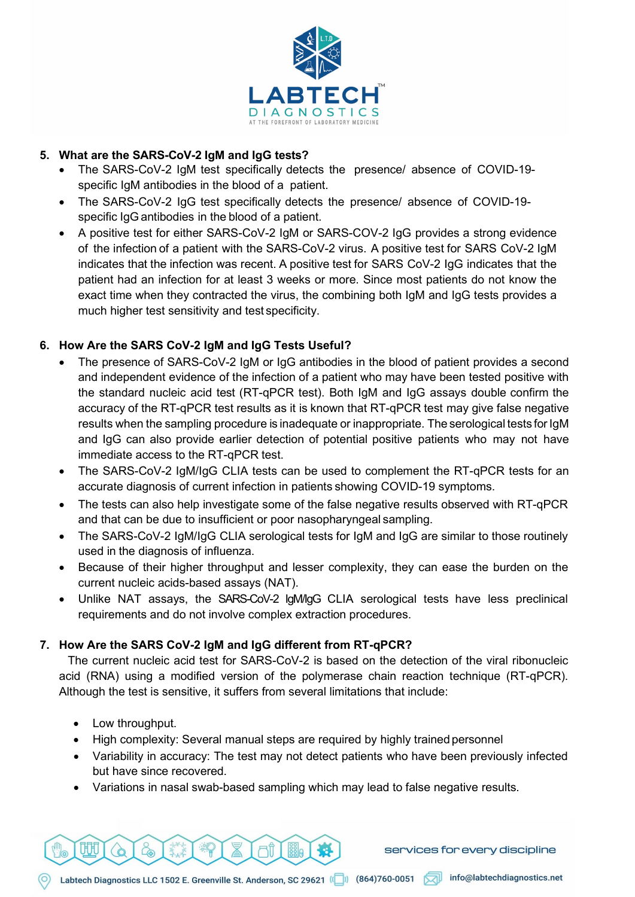

# **5. What are the SARS-CoV-2 IgM and IgG tests?**

- The SARS-CoV-2 IgM test specifically detects the presence/ absence of COVID-19 specific IgM antibodies in the blood of a patient.
- The SARS-CoV-2 IgG test specifically detects the presence/ absence of COVID-19 specific IgG antibodies in the blood of a patient.
- A positive test for either SARS-CoV-2 IgM or SARS-COV-2 IgG provides a strong evidence of the infection of a patient with the SARS-CoV-2 virus. A positive test for SARS CoV-2 IgM indicates that the infection was recent. A positive test for SARS CoV-2 IgG indicates that the patient had an infection for at least 3 weeks or more. Since most patients do not know the exact time when they contracted the virus, the combining both IgM and IgG tests provides a much higher test sensitivity and test specificity.

# **6. How Are the SARS CoV-2 IgM and IgG Tests Useful?**

- The presence of SARS-CoV-2 IgM or IgG antibodies in the blood of patient provides a second and independent evidence of the infection of a patient who may have been tested positive with the standard nucleic acid test (RT-qPCR test). Both IgM and IgG assays double confirm the accuracy of the RT-qPCR test results as it is known that RT-qPCR test may give false negative results when the sampling procedure is inadequate or inappropriate. The serological tests for IgM and IgG can also provide earlier detection of potential positive patients who may not have immediate access to the RT-qPCR test.
- The SARS-CoV-2 IgM/IgG CLIA tests can be used to complement the RT-qPCR tests for an accurate diagnosis of current infection in patients showing COVID-19 symptoms.
- The tests can also help investigate some of the false negative results observed with RT-qPCR and that can be due to insufficient or poor nasopharyngeal sampling.
- The SARS-CoV-2 IgM/IgG CLIA serological tests for IgM and IgG are similar to those routinely used in the diagnosis of influenza.
- Because of their higher throughput and lesser complexity, they can ease the burden on the current nucleic acids-based assays (NAT).
- Unlike NAT assays, the SARS-CoV-2 IgM/IgG CLIA serological tests have less preclinical requirements and do not involve complex extraction procedures.

# **7. How Are the SARS CoV-2 IgM and IgG different from RT-qPCR?**

The current nucleic acid test for SARS-CoV-2 is based on the detection of the viral ribonucleic acid (RNA) using a modified version of the polymerase chain reaction technique (RT-qPCR). Although the test is sensitive, it suffers from several limitations that include:

• Low throughput.

明

- High complexity: Several manual steps are required by highly trained personnel
- Variability in accuracy: The test may not detect patients who have been previously infected but have since recovered.
- Variations in nasal swab-based sampling which may lead to false negative results.



7Ĩ